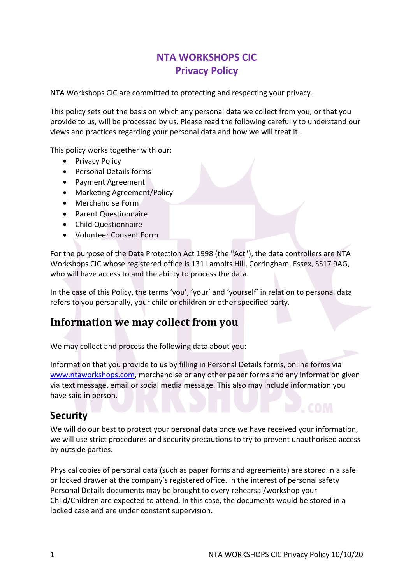# **NTA WORKSHOPS CIC Privacy Policy**

NTA Workshops CIC are committed to protecting and respecting your privacy.

This policy sets out the basis on which any personal data we collect from you, or that you provide to us, will be processed by us. Please read the following carefully to understand our views and practices regarding your personal data and how we will treat it.

This policy works together with our:

- Privacy Policy
- Personal Details forms
- Payment Agreement
- Marketing Agreement/Policy
- Merchandise Form
- Parent Questionnaire
- Child Questionnaire
- Volunteer Consent Form

For the purpose of the Data Protection Act 1998 (the "Act"), the data controllers are NTA Workshops CIC whose registered office is 131 Lampits Hill, Corringham, Essex, SS17 9AG, who will have access to and the ability to process the data.

In the case of this Policy, the terms 'you', 'your' and 'yourself' in relation to personal data refers to you personally, your child or children or other specified party.

## **Information we may collect from you**

We may collect and process the following data about you:

Information that you provide to us by filling in Personal Details forms, online forms via www.ntaworkshops.com, merchandise or any other paper forms and any information given via text message, email or social media message. This also may include information you have said in person.

#### **Security**

We will do our best to protect your personal data once we have received your information, we will use strict procedures and security precautions to try to prevent unauthorised access by outside parties.

Physical copies of personal data (such as paper forms and agreements) are stored in a safe or locked drawer at the company's registered office. In the interest of personal safety Personal Details documents may be brought to every rehearsal/workshop your Child/Children are expected to attend. In this case, the documents would be stored in a locked case and are under constant supervision.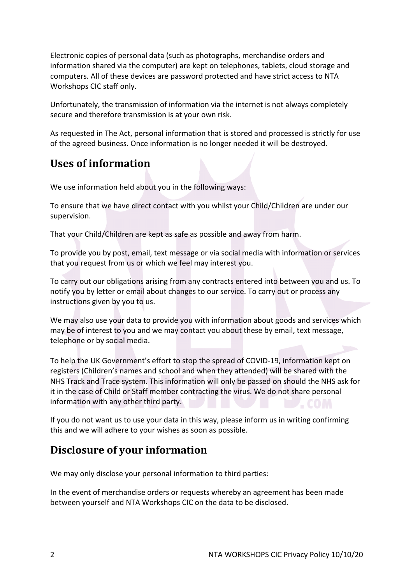Electronic copies of personal data (such as photographs, merchandise orders and information shared via the computer) are kept on telephones, tablets, cloud storage and computers. All of these devices are password protected and have strict access to NTA Workshops CIC staff only.

Unfortunately, the transmission of information via the internet is not always completely secure and therefore transmission is at your own risk.

As requested in The Act, personal information that is stored and processed is strictly for use of the agreed business. Once information is no longer needed it will be destroyed.

# **Uses of information**

We use information held about you in the following ways:

To ensure that we have direct contact with you whilst your Child/Children are under our supervision.

That your Child/Children are kept as safe as possible and away from harm.

To provide you by post, email, text message or via social media with information or services that you request from us or which we feel may interest you.

To carry out our obligations arising from any contracts entered into between you and us. To notify you by letter or email about changes to our service. To carry out or process any instructions given by you to us.

We may also use your data to provide you with information about goods and services which may be of interest to you and we may contact you about these by email, text message, telephone or by social media.

To help the UK Government's effort to stop the spread of COVID-19, information kept on registers (Children's names and school and when they attended) will be shared with the NHS Track and Trace system. This information will only be passed on should the NHS ask for it in the case of Child or Staff member contracting the virus. We do not share personal information with any other third party.  $\leftarrow$  COLA

If you do not want us to use your data in this way, please inform us in writing confirming this and we will adhere to your wishes as soon as possible.

## **Disclosure of your information**

We may only disclose your personal information to third parties:

In the event of merchandise orders or requests whereby an agreement has been made between yourself and NTA Workshops CIC on the data to be disclosed.